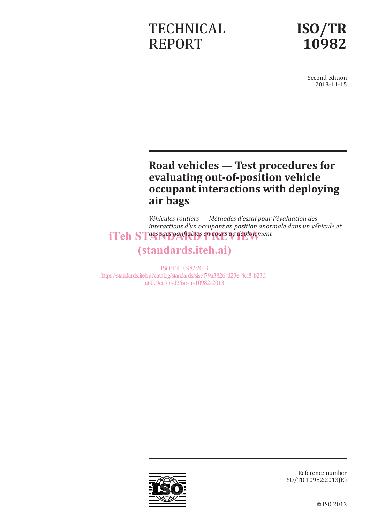# **TECHNICAL** REPORT



Second edition 2013-11-15

# **Road vehicles — Test procedures for evaluating out-of-position vehicle occupant interactions with deploying air bags**

*Véhicules routiers — Méthodes d'essai pour l'évaluation des interactions d'un occupant en position anormale dans un véhicule et*  iTeh ST<sup>des sacs gonflables en cours de déploiement</sup>

# (standards.iteh.ai)

ISO/TR10982:2013 https://standards.iteh.ai/catalog/standards/sist/f79a3826-d23e-4cf8-b23da60e9ee959d2/iso-tr-10982-2013



Reference number ISO/TR 10982:2013(E)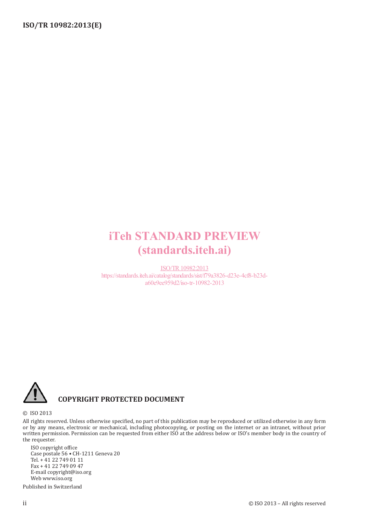# iTeh STANDARD PREVIEW (standards.iteh.ai)

ISO/TR10982:2013 https://standards.iteh.ai/catalog/standards/sist/f79a3826-d23e-4cf8-b23da60e9ee959d2/iso-tr-10982-2013



# **COPYRIGHT PROTECTED DOCUMENT**

© ISO 2013

All rights reserved. Unless otherwise specified, no part of this publication may be reproduced or utilized otherwise in any form or by any means, electronic or mechanical, including photocopying, or posting on the internet or an intranet, without prior written permission. Permission can be requested from either ISO at the address below or ISO's member body in the country of the requester.

ISO copyright office Case postale 56 • CH-1211 Geneva 20 Tel. + 41 22 749 01 11 Fax + 41 22 749 09 47 E-mail copyright@iso.org Web www.iso.org

Published in Switzerland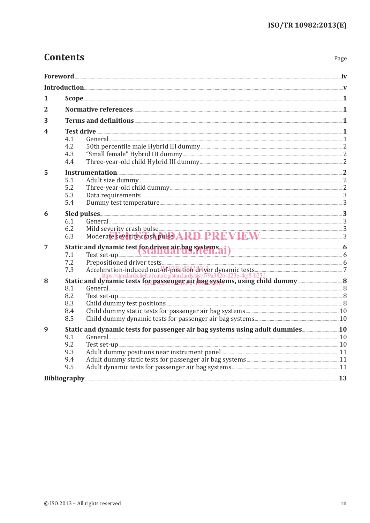| ×<br>I<br>×<br>۰, |
|-------------------|
|-------------------|

| 1 |                                                                                                                                                                                                                                                                  |  |
|---|------------------------------------------------------------------------------------------------------------------------------------------------------------------------------------------------------------------------------------------------------------------|--|
| 2 |                                                                                                                                                                                                                                                                  |  |
| 3 |                                                                                                                                                                                                                                                                  |  |
| 4 | Test drive <b>the contract of the contract of the contract of the contract of the contract of the contract of the contract of the contract of the contract of the contract of the contract of the contract of the contract of th</b><br>4.1<br>4.2<br>4.3<br>4.4 |  |
| 5 | 5.1<br>5.2<br>5.3<br>5.4                                                                                                                                                                                                                                         |  |
| 6 | 6.1<br>6.2<br>6.3                                                                                                                                                                                                                                                |  |
| 7 | 7.2                                                                                                                                                                                                                                                              |  |
| 8 | 8.1<br>8.2<br>8.3<br>8.4<br>8.5                                                                                                                                                                                                                                  |  |
| 9 | 9.1<br>9.2<br>9.3<br>9.4<br>9.5                                                                                                                                                                                                                                  |  |
|   | Bibliography <u>Electron 23</u>                                                                                                                                                                                                                                  |  |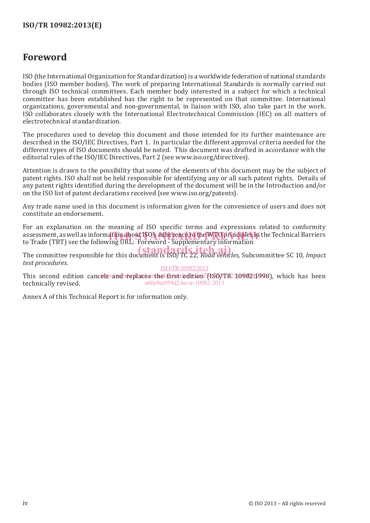# **Foreword**

ISO (the International Organization for Standardization) is a worldwide federation of national standards bodies (ISO member bodies). The work of preparing International Standards is normally carried out through ISO technical committees. Each member body interested in a subject for which a technical committee has been established has the right to be represented on that committee. International organizations, governmental and non-governmental, in liaison with ISO, also take part in the work. ISO collaborates closely with the International Electrotechnical Commission (IEC) on all matters of electrotechnical standardization.

The procedures used to develop this document and those intended for its further maintenance are described in the ISO/IEC Directives, Part 1. In particular the different approval criteria needed for the different types of ISO documents should be noted. This document was drafted in accordance with the editorial rules of the ISO/IEC Directives, Part 2 (see www.iso.org/directives).

Attention is drawn to the possibility that some of the elements of this document may be the subject of patent rights. ISO shall not be held responsible for identifying any or all such patent rights. Details of any patent rights identified during the development of the document will be in the Introduction and/or on the ISO list of patent declarations received (see www.iso.org/patents).

Any trade name used in this document is information given for the convenience of users and does not constitute an endorsement.

For an explanation on the meaning of ISO specific terms and expressions related to conformity assessment, as well as information about ISO's adherence to the WTO principles in the Technical Barriers<br>to Trade (TBT) see the following URL: Foreword - Supplementary information to Trade (TBT) see the following URL: Foreword - Supplementary information

The committee responsible for this document is ISO/TC 22, *Road vehicles*, Subcommittee SC 10, *Impact*  (standards.iteh.ai) *test procedures*.

#### ISO/TR10982:2013

This second edition cancels sand replaces the of rst dedition (HSO/TR 1098211998), which has been technically revised. a60e9ee959d2/iso-tr-10982-2013

Annex A of this Technical Report is for information only.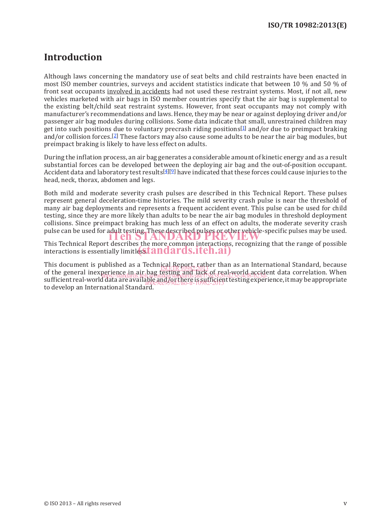# **Introduction**

Although laws concerning the mandatory use of seat belts and child restraints have been enacted in most ISO member countries, surveys and accident statistics indicate that between 10 % and 50 % of front seat occupants involved in accidents had not used these restraint systems. Most, if not all, new vehicles marketed with air bags in ISO member countries specify that the air bag is supplemental to the existing belt/child seat restraint systems. However, front seat occupants may not comply with manufacturer's recommendations and laws. Hence, they may be near or against deploying driver and/or passenger air bag modules during collisions. Some data indicate that small, unrestrained children may get into such positions due to voluntary precrash riding positions[1] and/or due to preimpact braking and/or collision forces.[2] These factors may also cause some adults to be near the air bag modules, but preimpact braking is likely to have less effect on adults.

During the inflation process, an air bag generates a considerable amount of kinetic energy and as a result substantial forces can be developed between the deploying air bag and the out-of-position occupant. Accident data and laboratory test results[4][9] have indicated that these forces could cause injuries to the head, neck, thorax, abdomen and legs.

Both mild and moderate severity crash pulses are described in this Technical Report. These pulses represent general deceleration-time histories. The mild severity crash pulse is near the threshold of many air bag deployments and represents a frequent accident event. This pulse can be used for child testing, since they are more likely than adults to be near the air bag modules in threshold deployment collisions. Since preimpact braking has much less of an effect on adults, the moderate severity crash pulse can be used for adult testing. These described pulses or other vehicle-specific pulses may be used.<br>This Technical Davant described the may be approximately assumed in the specific pulses may be used.

This Technical Report describes the more common interactions, recognizing that the range of possible This Technical Report describes the more common interactions,<br>interactions is essentially limitlesstandards.iteh.ai)

This document is published as a Technical Report, rather than as an International Standard, because of the general inexperience in air bag testing and lack of real-world accident data correlation. When sufficient real-world data are available and/or there is sufficient testing experience, it may be appropriate to develop an International Standard. ISO/TR 10982:2013 https://standards.iteh.ai/catalog/standards/sist/f79a3826-d23e-4cf8-b23da60e9ee959d2/iso-tr-10982-2013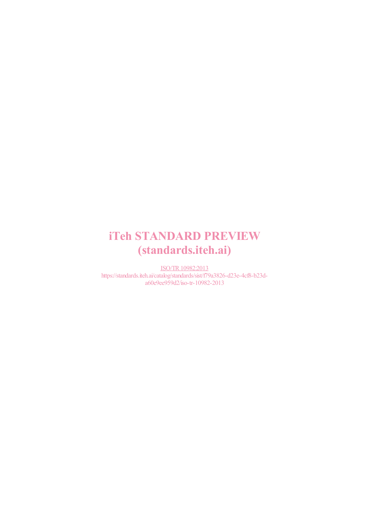# iTeh STANDARD PREVIEW (standards.iteh.ai)

ISO/TR10982:2013 https://standards.iteh.ai/catalog/standards/sist/f79a3826-d23e-4cf8-b23da60e9ee959d2/iso-tr-10982-2013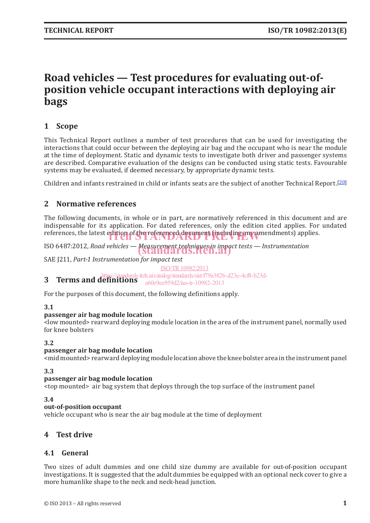# **Road vehicles — Test procedures for evaluating out-ofposition vehicle occupant interactions with deploying air bags**

# **1 Scope**

This Technical Report outlines a number of test procedures that can be used for investigating the interactions that could occur between the deploying air bag and the occupant who is near the module at the time of deployment. Static and dynamic tests to investigate both driver and passenger systems are described. Comparative evaluation of the designs can be conducted using static tests. Favourable systems may be evaluated, if deemed necessary, by appropriate dynamic tests.

Children and infants restrained in child or infants seats are the subject of another Technical Report.[20]

# **2 Normative references**

The following documents, in whole or in part, are normatively referenced in this document and are indispensable for its application. For dated references, only the edition cited applies. For undated references, the latest edition of the referenced document (including any amendments) applies.

ISO 6487:2012, *Road vehicles — Measurement techniques in impact tests — Instrumentation* (standards.iteh.ai)

SAE J211, *Part-1 Instrumentation for impact test*

ISO/TR10982:2013

dards.iteh.ai/catalog/standards/sist/f79a3826-d23e-4cf8-b23d-

**3 Terms and definitions** a60e9ee959d2/iso-tr-10982-2013

For the purposes of this document, the following definitions apply.

#### **3.1**

#### **passenger air bag module location**

<low mounted> rearward deploying module location in the area of the instrument panel, normally used for knee bolsters

#### **3.2**

#### **passenger air bag module location**

<mid mounted> rearward deploying module location above the knee bolster area in the instrument panel

#### **3.3**

#### **passenger air bag module location**

<top mounted>air bag system that deploys through the top surface of the instrument panel

#### **3.4**

#### **out-of-position occupant**

vehicle occupant who is near the air bag module at the time of deployment

## **4 Test drive**

## **4.1 General**

Two sizes of adult dummies and one child size dummy are available for out-of-position occupant investigations. It is suggested that the adult dummies be equipped with an optional neck cover to give a more humanlike shape to the neck and neck-head junction.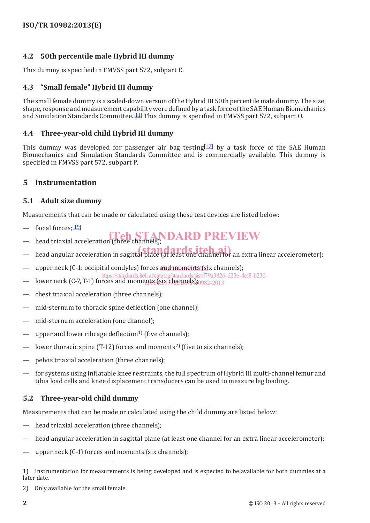# **4.2 50th percentile male Hybrid III dummy**

This dummy is specified in FMVSS part 572, subpart E.

## **4.3 "Small female" Hybrid III dummy**

The small female dummy is a scaled-down version of the Hybrid III 50th percentile male dummy. The size, shape, response and measurement capability were defined by a task force of the SAE Human Biomechanics and Simulation Standards Committee.[11] This dummy is specified in FMVSS part 572, subpart O.

## **4.4 Three-year-old child Hybrid III dummy**

This dummy was developed for passenger air bag testing[12] by a task force of the SAE Human Biomechanics and Simulation Standards Committee and is commercially available. This dummy is specified in FMVSS part 572, subpart P.

## **5 Instrumentation**

## **5.1 Adult size dummy**

Measurements that can be made or calculated using these test devices are listed below:

- facial forces;<sup>[19]</sup>
- denarion Contains and Contains the Container of the Channels of STANDARD PREVIEW
- head angular acceleration in sagittal place (at least one channel for an extra linear accelerometer);
- upper neck (C-1: occipital condyles) forces <u>and moments (si</u>x channels);
- https://standards.iteh.ai/catalog/standards/sist/f79a3826-d23e-4cf8-b23d-
- $-$  lower neck (C-7, T-1) forces and moments (six channels); $_{0.982-2013}$
- chest triaxial acceleration (three channels);
- mid-sternum to thoracic spine deflection (one channel);
- mid-sternum acceleration (one channel);
- upper and lower ribcage deflection<sup>1</sup> (five channels);
- lower thoracic spine (T-12) forces and moments<sup>2)</sup> (five to six channels);
- pelvis triaxial acceleration (three channels);
- for systems using inflatable knee restraints, the full spectrum of Hybrid III multi-channel femur and tibia load cells and knee displacement transducers can be used to measure leg loading.

# **5.2 Three-year-old child dummy**

Measurements that can be made or calculated using the child dummy are listed below:

- head triaxial acceleration (three channels):
- head angular acceleration in sagittal plane (at least one channel for an extra linear accelerometer);
- upper neck  $(C-1)$  forces and moments (six channels);

<sup>1)</sup> Instrumentation for measurements is being developed and is expected to be available for both dummies at a later date.

<sup>2)</sup> Only available for the small female.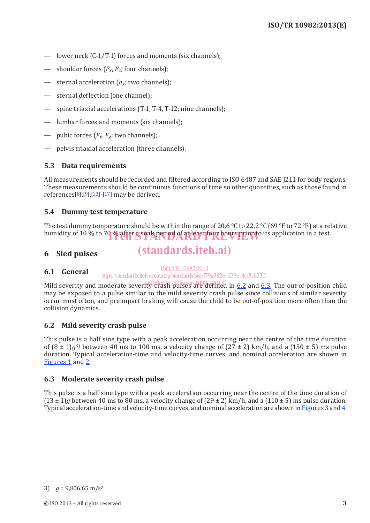- lower neck (C-1/T-1) forces and moments (six channels);
- shoulder forces (*Fx*, *Fz*; four channels);
- $-$  sternal acceleration  $(a_x; two channels);$
- sternal deflection (one channel);
- spine triaxial accelerations (T-1, T-4, T-12; nine channels);
- lumbar forces and moments (six channels);
- pubic forces (*Fx*, *Fz*; two channels);
- pelvis triaxial acceleration (three channels).

## **5.3 Data requirements**

All measurements should be recorded and filtered according to ISO 6487 and SAE J211 for body regions. These measurements should be continuous functions of time so other quantities, such as those found in references[<mark>8],[9],[13]-[17</mark>] may be derived.

## **5.4 Dummy test temperature**

The test dummy temperature should be within the range of 20,6 °C to 22,2 °C (69 °F to 72 °F) at a relative humidity of 10 % to 70 % after a soak period of at least four hours prior to its application in a test.

# **6 Sled pulses**

# (standards.iteh.ai)

#### ISO/TR10982:2013

**6.1 General** https://standards.iteh.ai/catalog/standards/sist/f79a3826-d23e-4cf8-b23d-

Mild severity and moderate severity crash pulses are defined in 6.2 and 6.3. The out-of-position child may be exposed to a pulse similar to the mild severity crash pulse since collisions of similar severity occur most often, and preimpact braking will cause the child to be out-of-position more often than the collision dynamics.

## **6.2 Mild severity crash pulse**

This pulse is a half sine type with a peak acceleration occurring near the centre of the time duration of  $(8 \pm 1)g^{3}$  between 40 ms to 100 ms, a velocity change of  $(27 \pm 2)$  km/h, and a  $(150 \pm 5)$  ms pulse duration. Typical acceleration-time and velocity-time curves, and nominal acceleration are shown in Figures 1 and 2.

#### **6.3 Moderate severity crash pulse**

This pulse is a half sine type with a peak acceleration occurring near the centre of the time duration of  $(13 \pm 1)q$  between 40 ms to 80 ms, a velocity change of  $(29 \pm 2)$  km/h, and a  $(110 \pm 5)$  ms pulse duration. Typical acceleration-time and velocity-time curves, and nominal acceleration are shown in Figures 3 and  $\frac{4}{5}$ .

<sup>3)</sup>  $q = 9,80665 \text{ m/s}^2$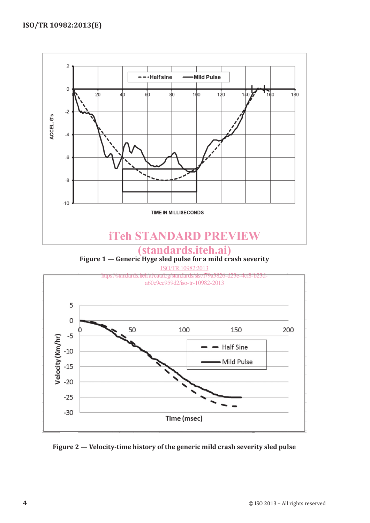